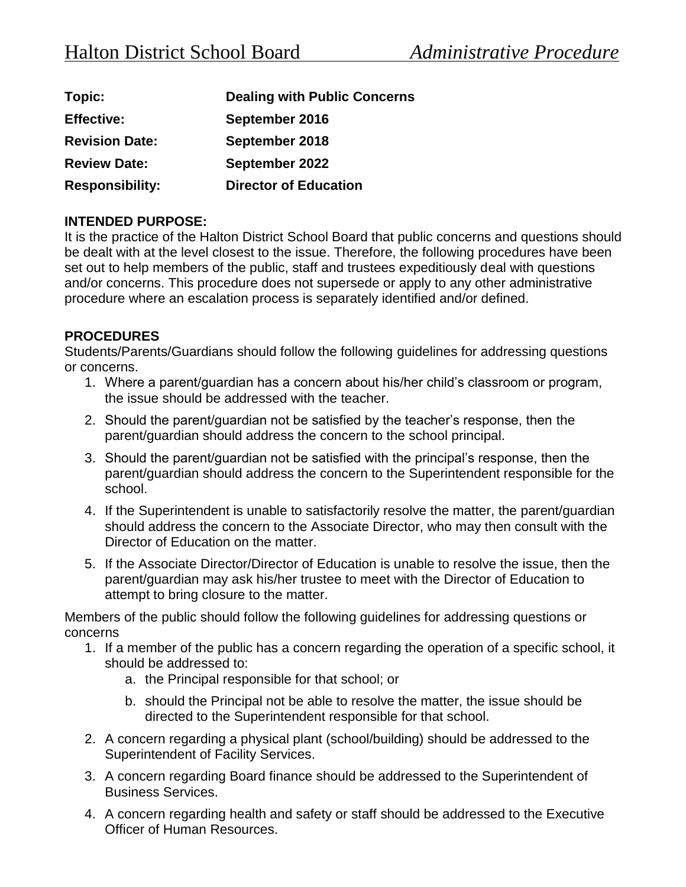| Topic:                 | <b>Dealing with Public Concerns</b> |
|------------------------|-------------------------------------|
| <b>Effective:</b>      | September 2016                      |
| <b>Revision Date:</b>  | September 2018                      |
| <b>Review Date:</b>    | September 2022                      |
| <b>Responsibility:</b> | <b>Director of Education</b>        |

## **INTENDED PURPOSE:**

It is the practice of the Halton District School Board that public concerns and questions should be dealt with at the level closest to the issue. Therefore, the following procedures have been set out to help members of the public, staff and trustees expeditiously deal with questions and/or concerns. This procedure does not supersede or apply to any other administrative procedure where an escalation process is separately identified and/or defined.

## **PROCEDURES**

Students/Parents/Guardians should follow the following guidelines for addressing questions or concerns.

- 1. Where a parent/guardian has a concern about his/her child's classroom or program, the issue should be addressed with the teacher.
- 2. Should the parent/guardian not be satisfied by the teacher's response, then the parent/guardian should address the concern to the school principal.
- 3. Should the parent/guardian not be satisfied with the principal's response, then the parent/guardian should address the concern to the Superintendent responsible for the school.
- 4. If the Superintendent is unable to satisfactorily resolve the matter, the parent/guardian should address the concern to the Associate Director, who may then consult with the Director of Education on the matter.
- 5. If the Associate Director/Director of Education is unable to resolve the issue, then the parent/guardian may ask his/her trustee to meet with the Director of Education to attempt to bring closure to the matter.

Members of the public should follow the following guidelines for addressing questions or concerns

- 1. If a member of the public has a concern regarding the operation of a specific school, it should be addressed to:
	- a. the Principal responsible for that school; or
	- b. should the Principal not be able to resolve the matter, the issue should be directed to the Superintendent responsible for that school.
- 2. A concern regarding a physical plant (school/building) should be addressed to the Superintendent of Facility Services.
- 3. A concern regarding Board finance should be addressed to the Superintendent of Business Services.
- 4. A concern regarding health and safety or staff should be addressed to the Executive Officer of Human Resources.